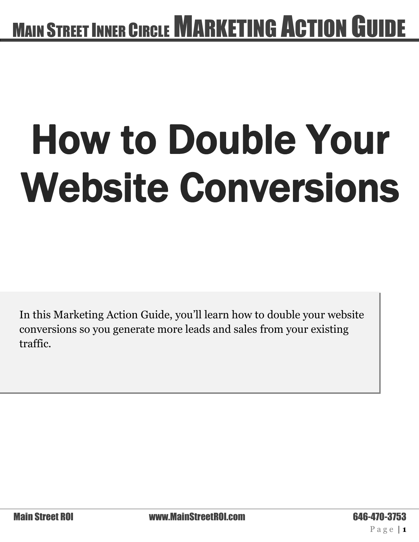# How to Double Your Website Conversions

In this Marketing Action Guide, you'll learn how to double your website conversions so you generate more leads and sales from your existing traffic.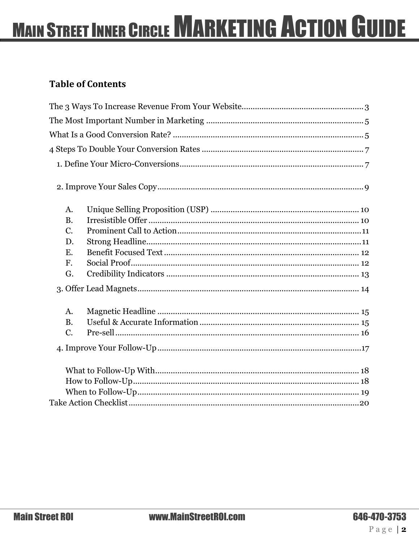### **Table of Contents**

| A.          |  |
|-------------|--|
| <b>B.</b>   |  |
| $C_{\cdot}$ |  |
| D.          |  |
| E.          |  |
| $F_{\rm c}$ |  |
| G.          |  |
|             |  |
| A.          |  |
| <b>B.</b>   |  |
| $C_{\cdot}$ |  |
|             |  |
|             |  |
|             |  |
|             |  |
|             |  |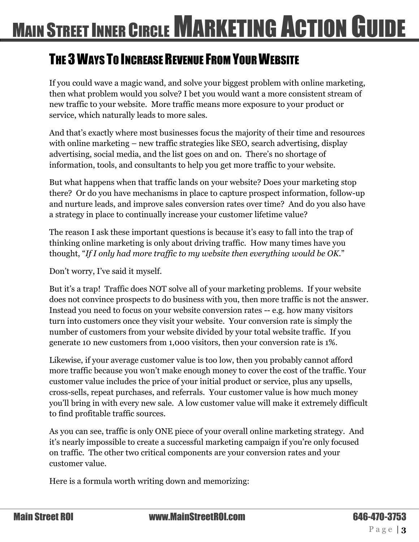### <span id="page-2-0"></span>THE 3 WAYS TO INCREASE REVENUE FROM YOUR WEBSITE

If you could wave a magic wand, and solve your biggest problem with online marketing, then what problem would you solve? I bet you would want a more consistent stream of new traffic to your website. More traffic means more exposure to your product or service, which naturally leads to more sales.

And that's exactly where most businesses focus the majority of their time and resources with online marketing – new traffic strategies like SEO, search advertising, display advertising, social media, and the list goes on and on. There's no shortage of information, tools, and consultants to help you get more traffic to your website.

But what happens when that traffic lands on your website? Does your marketing stop there? Or do you have mechanisms in place to capture prospect information, follow-up and nurture leads, and improve sales conversion rates over time? And do you also have a strategy in place to continually increase your customer lifetime value?

The reason I ask these important questions is because it's easy to fall into the trap of thinking online marketing is only about driving traffic. How many times have you thought, "*If I only had more traffic to my website then everything would be OK.*"

Don't worry, I've said it myself.

But it's a trap! Traffic does NOT solve all of your marketing problems. If your website does not convince prospects to do business with you, then more traffic is not the answer. Instead you need to focus on your website conversion rates -- e.g. how many visitors turn into customers once they visit your website. Your conversion rate is simply the number of customers from your website divided by your total website traffic. If you generate 10 new customers from 1,000 visitors, then your conversion rate is 1%.

Likewise, if your average customer value is too low, then you probably cannot afford more traffic because you won't make enough money to cover the cost of the traffic. Your customer value includes the price of your initial product or service, plus any upsells, cross-sells, repeat purchases, and referrals. Your customer value is how much money you'll bring in with every new sale. A low customer value will make it extremely difficult to find profitable traffic sources.

As you can see, traffic is only ONE piece of your overall online marketing strategy. And it's nearly impossible to create a successful marketing campaign if you're only focused on traffic. The other two critical components are your conversion rates and your customer value.

Here is a formula worth writing down and memorizing: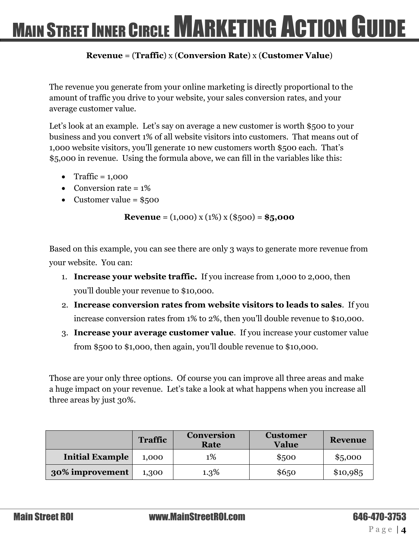#### **Revenue** = (**Traffic**) x (**Conversion Rate**) x (**Customer Value**)

The revenue you generate from your online marketing is directly proportional to the amount of traffic you drive to your website, your sales conversion rates, and your average customer value.

Let's look at an example. Let's say on average a new customer is worth \$500 to your business and you convert 1% of all website visitors into customers. That means out of 1,000 website visitors, you'll generate 10 new customers worth \$500 each. That's \$5,000 in revenue. Using the formula above, we can fill in the variables like this:

- Traffic =  $1,000$
- Conversion rate  $= 1\%$
- Customer value =  $$500$

**Revenue** =  $(1,000)$  x  $(1\%)$  x  $(\$500)$  =  $\$5,000$ 

Based on this example, you can see there are only 3 ways to generate more revenue from your website. You can:

- 1. **Increase your website traffic.** If you increase from 1,000 to 2,000, then you'll double your revenue to \$10,000.
- 2. **Increase conversion rates from website visitors to leads to sales**. If you increase conversion rates from 1% to 2%, then you'll double revenue to \$10,000.
- 3. **Increase your average customer value**. If you increase your customer value from \$500 to \$1,000, then again, you'll double revenue to \$10,000.

Those are your only three options. Of course you can improve all three areas and make a huge impact on your revenue. Let's take a look at what happens when you increase all three areas by just 30%.

|                        | <b>Traffic</b> | <b>Conversion</b><br>Rate | <b>Customer</b><br><b>Value</b> | <b>Revenue</b> |
|------------------------|----------------|---------------------------|---------------------------------|----------------|
| <b>Initial Example</b> | 1.000          | 1%                        | \$500                           | \$5,000        |
| 30% improvement        | 1,300          | 1.3%                      | \$6,50                          | \$10,985       |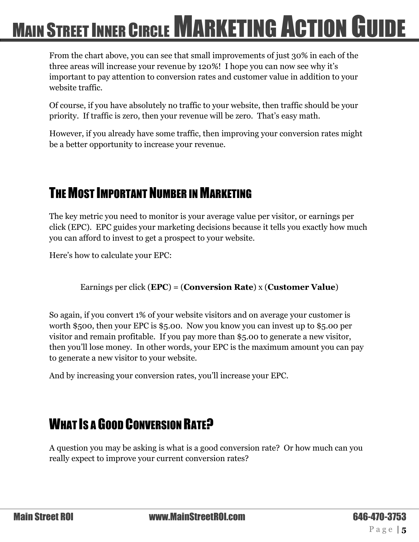From the chart above, you can see that small improvements of just 30% in each of the three areas will increase your revenue by 120%! I hope you can now see why it's important to pay attention to conversion rates and customer value in addition to your website traffic.

Of course, if you have absolutely no traffic to your website, then traffic should be your priority. If traffic is zero, then your revenue will be zero. That's easy math.

However, if you already have some traffic, then improving your conversion rates might be a better opportunity to increase your revenue.

### <span id="page-4-0"></span>THE MOST IMPORTANT NUMBER IN MARKETING

The key metric you need to monitor is your average value per visitor, or earnings per click (EPC). EPC guides your marketing decisions because it tells you exactly how much you can afford to invest to get a prospect to your website.

Here's how to calculate your EPC:

Earnings per click (**EPC**) = (**Conversion Rate**) x (**Customer Value**)

So again, if you convert 1% of your website visitors and on average your customer is worth \$500, then your EPC is \$5.00. Now you know you can invest up to \$5.00 per visitor and remain profitable. If you pay more than \$5.00 to generate a new visitor, then you'll lose money. In other words, your EPC is the maximum amount you can pay to generate a new visitor to your website.

And by increasing your conversion rates, you'll increase your EPC.

### <span id="page-4-1"></span>WHAT IS A GOOD CONVERSION RATE?

A question you may be asking is what is a good conversion rate? Or how much can you really expect to improve your current conversion rates?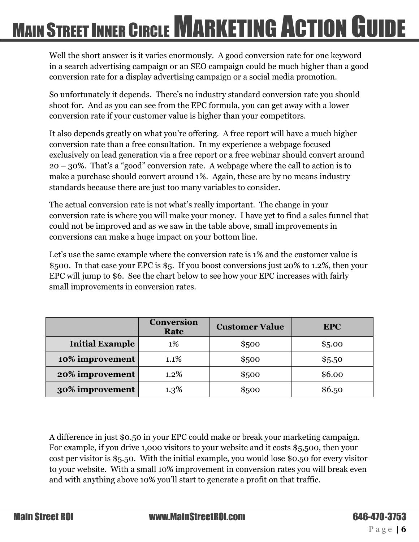Well the short answer is it varies enormously. A good conversion rate for one keyword in a search advertising campaign or an SEO campaign could be much higher than a good conversion rate for a display advertising campaign or a social media promotion.

So unfortunately it depends. There's no industry standard conversion rate you should shoot for. And as you can see from the EPC formula, you can get away with a lower conversion rate if your customer value is higher than your competitors.

It also depends greatly on what you're offering. A free report will have a much higher conversion rate than a free consultation. In my experience a webpage focused exclusively on lead generation via a free report or a free webinar should convert around 20 – 30%. That's a "good" conversion rate. A webpage where the call to action is to make a purchase should convert around 1%. Again, these are by no means industry standards because there are just too many variables to consider.

The actual conversion rate is not what's really important. The change in your conversion rate is where you will make your money. I have yet to find a sales funnel that could not be improved and as we saw in the table above, small improvements in conversions can make a huge impact on your bottom line.

Let's use the same example where the conversion rate is  $1\%$  and the customer value is \$500. In that case your EPC is \$5. If you boost conversions just 20% to 1.2%, then your EPC will jump to \$6. See the chart below to see how your EPC increases with fairly small improvements in conversion rates.

|                        | <b>Conversion</b><br>Rate | <b>Customer Value</b> | <b>EPC</b> |
|------------------------|---------------------------|-----------------------|------------|
| <b>Initial Example</b> | $1\%$                     | \$500                 | \$5.00     |
| 10% improvement        | 1.1%                      | \$500                 | \$5.50     |
| 20% improvement        | $1.2\%$                   | \$500                 | \$6.00     |
| 30% improvement        | 1.3%                      | \$500                 | \$6.50     |

A difference in just \$0.50 in your EPC could make or break your marketing campaign. For example, if you drive 1,000 visitors to your website and it costs \$5,500, then your cost per visitor is \$5.50. With the initial example, you would lose \$0.50 for every visitor to your website. With a small 10% improvement in conversion rates you will break even and with anything above 10% you'll start to generate a profit on that traffic.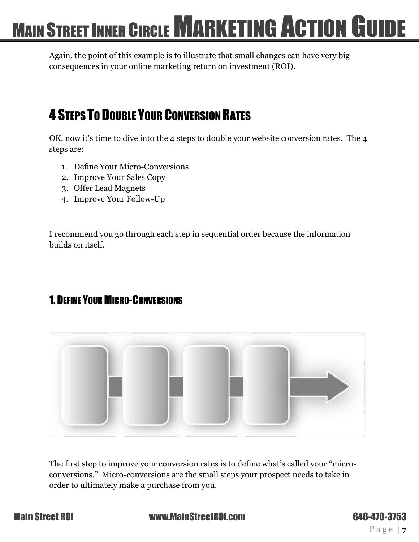Again, the point of this example is to illustrate that small changes can have very big consequences in your online marketing return on investment (ROI).

### <span id="page-6-0"></span>4 STEPS TO DOUBLE YOUR CONVERSION RATES

OK, now it's time to dive into the 4 steps to double your website conversion rates. The 4 steps are:

- 1. Define Your Micro-Conversions
- 2. Improve Your Sales Copy
- 3. Offer Lead Magnets
- 4. Improve Your Follow-Up

I recommend you go through each step in sequential order because the information builds on itself.

### <span id="page-6-1"></span>1. DEFINE YOUR MICRO-CONVERSIONS



The first step to improve your conversion rates is to define what's called your "microconversions." Micro-conversions are the small steps your prospect needs to take in order to ultimately make a purchase from you.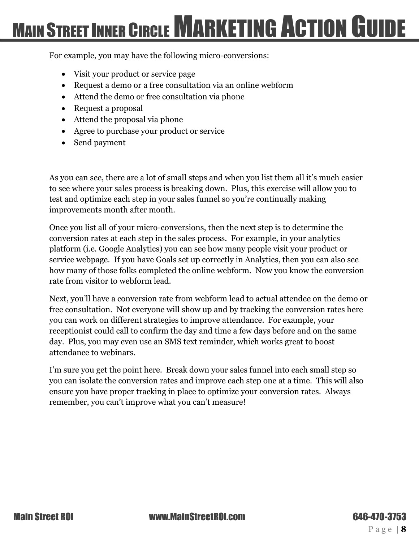For example, you may have the following micro-conversions:

- Visit your product or service page
- Request a demo or a free consultation via an online webform
- Attend the demo or free consultation via phone
- Request a proposal
- Attend the proposal via phone
- Agree to purchase your product or service
- Send payment

As you can see, there are a lot of small steps and when you list them all it's much easier to see where your sales process is breaking down. Plus, this exercise will allow you to test and optimize each step in your sales funnel so you're continually making improvements month after month.

Once you list all of your micro-conversions, then the next step is to determine the conversion rates at each step in the sales process. For example, in your analytics platform (i.e. Google Analytics) you can see how many people visit your product or service webpage. If you have Goals set up correctly in Analytics, then you can also see how many of those folks completed the online webform. Now you know the conversion rate from visitor to webform lead.

Next, you'll have a conversion rate from webform lead to actual attendee on the demo or free consultation. Not everyone will show up and by tracking the conversion rates here you can work on different strategies to improve attendance. For example, your receptionist could call to confirm the day and time a few days before and on the same day. Plus, you may even use an SMS text reminder, which works great to boost attendance to webinars.

I'm sure you get the point here. Break down your sales funnel into each small step so you can isolate the conversion rates and improve each step one at a time. This will also ensure you have proper tracking in place to optimize your conversion rates. Always remember, you can't improve what you can't measure!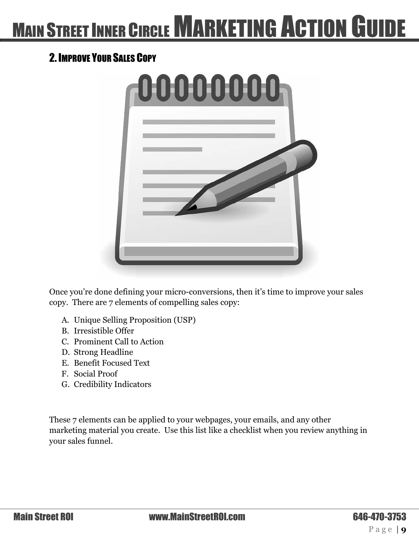### <span id="page-8-0"></span>2. IMPROVE YOUR SALES COPY



Once you're done defining your micro-conversions, then it's time to improve your sales copy. There are 7 elements of compelling sales copy:

- A. Unique Selling Proposition (USP)
- B. Irresistible Offer
- C. Prominent Call to Action
- D. Strong Headline
- E. Benefit Focused Text
- F. Social Proof
- G. Credibility Indicators

These 7 elements can be applied to your webpages, your emails, and any other marketing material you create. Use this list like a checklist when you review anything in your sales funnel.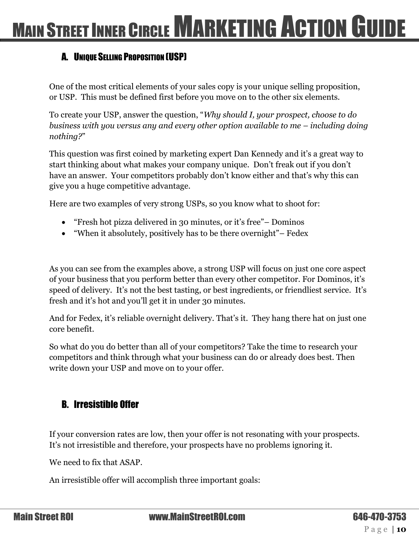### <span id="page-9-0"></span>A. UNIQUE SELLING PROPOSITION (USP)

One of the most critical elements of your sales copy is your unique selling proposition, or USP. This must be defined first before you move on to the other six elements.

To create your USP, answer the question, "*Why should I, your prospect, choose to do business with you versus any and every other option available to me – including doing nothing?*"

This question was first coined by marketing expert Dan Kennedy and it's a great way to start thinking about what makes your company unique. Don't freak out if you don't have an answer. Your competitors probably don't know either and that's why this can give you a huge competitive advantage.

Here are two examples of very strong USPs, so you know what to shoot for:

- "Fresh hot pizza delivered in 30 minutes, or it's free"– Dominos
- "When it absolutely, positively has to be there overnight"– Fedex

As you can see from the examples above, a strong USP will focus on just one core aspect of your business that you perform better than every other competitor. For Dominos, it's speed of delivery. It's not the best tasting, or best ingredients, or friendliest service. It's fresh and it's hot and you'll get it in under 30 minutes.

And for Fedex, it's reliable overnight delivery. That's it. They hang there hat on just one core benefit.

So what do you do better than all of your competitors? Take the time to research your competitors and think through what your business can do or already does best. Then write down your USP and move on to your offer.

### <span id="page-9-1"></span>B. Irresistible Offer

If your conversion rates are low, then your offer is not resonating with your prospects. It's not irresistible and therefore, your prospects have no problems ignoring it.

We need to fix that ASAP.

An irresistible offer will accomplish three important goals: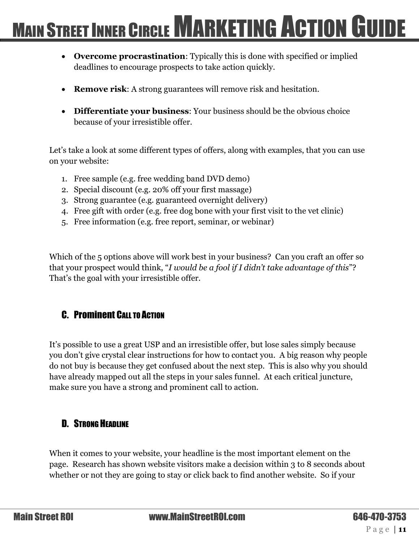- **Overcome procrastination**: Typically this is done with specified or implied deadlines to encourage prospects to take action quickly.
- **Remove risk:** A strong guarantees will remove risk and hesitation.
- **Differentiate your business**: Your business should be the obvious choice because of your irresistible offer.

Let's take a look at some different types of offers, along with examples, that you can use on your website:

- 1. Free sample (e.g. free wedding band DVD demo)
- 2. Special discount (e.g. 20% off your first massage)
- 3. Strong guarantee (e.g. guaranteed overnight delivery)
- 4. Free gift with order (e.g. free dog bone with your first visit to the vet clinic)
- 5. Free information (e.g. free report, seminar, or webinar)

Which of the 5 options above will work best in your business? Can you craft an offer so that your prospect would think, "*I would be a fool if I didn't take advantage of this*"? That's the goal with your irresistible offer.

### <span id="page-10-0"></span>C. Prominent CALL TO ACTION

It's possible to use a great USP and an irresistible offer, but lose sales simply because you don't give crystal clear instructions for how to contact you. A big reason why people do not buy is because they get confused about the next step. This is also why you should have already mapped out all the steps in your sales funnel. At each critical juncture, make sure you have a strong and prominent call to action.

### <span id="page-10-1"></span>D. STRONG HEADLINE

When it comes to your website, your headline is the most important element on the page. Research has shown website visitors make a decision within 3 to 8 seconds about whether or not they are going to stay or click back to find another website. So if your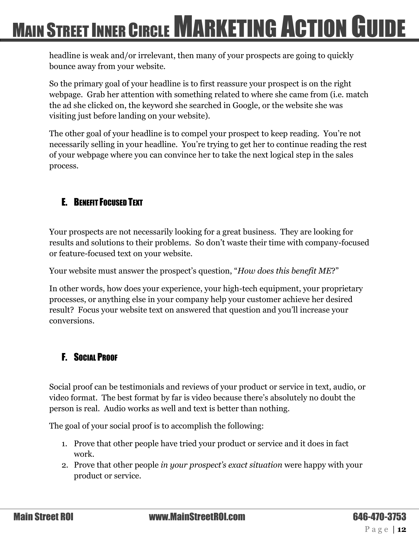headline is weak and/or irrelevant, then many of your prospects are going to quickly bounce away from your website.

So the primary goal of your headline is to first reassure your prospect is on the right webpage. Grab her attention with something related to where she came from (i.e. match the ad she clicked on, the keyword she searched in Google, or the website she was visiting just before landing on your website).

The other goal of your headline is to compel your prospect to keep reading. You're not necessarily selling in your headline. You're trying to get her to continue reading the rest of your webpage where you can convince her to take the next logical step in the sales process.

### <span id="page-11-0"></span>E. BENEFIT FOCUSED TEXT

Your prospects are not necessarily looking for a great business. They are looking for results and solutions to their problems. So don't waste their time with company-focused or feature-focused text on your website.

Your website must answer the prospect's question, "*How does this benefit ME*?"

In other words, how does your experience, your high-tech equipment, your proprietary processes, or anything else in your company help your customer achieve her desired result? Focus your website text on answered that question and you'll increase your conversions.

### <span id="page-11-1"></span>F. SOCIAL PROOF

Social proof can be testimonials and reviews of your product or service in text, audio, or video format. The best format by far is video because there's absolutely no doubt the person is real. Audio works as well and text is better than nothing.

The goal of your social proof is to accomplish the following:

- 1. Prove that other people have tried your product or service and it does in fact work.
- 2. Prove that other people *in your prospect's exact situation* were happy with your product or service.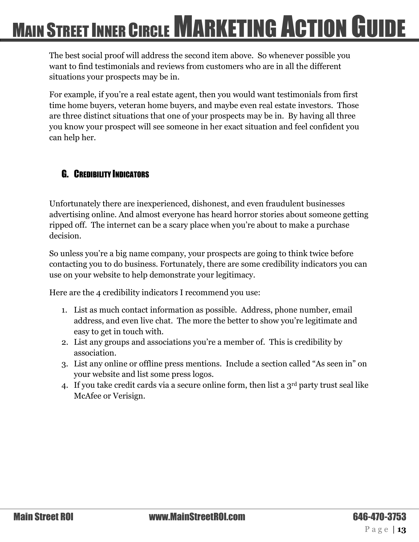The best social proof will address the second item above. So whenever possible you want to find testimonials and reviews from customers who are in all the different situations your prospects may be in.

For example, if you're a real estate agent, then you would want testimonials from first time home buyers, veteran home buyers, and maybe even real estate investors. Those are three distinct situations that one of your prospects may be in. By having all three you know your prospect will see someone in her exact situation and feel confident you can help her.

### <span id="page-12-0"></span>**G.** CREDIBILITY INDICATORS

Unfortunately there are inexperienced, dishonest, and even fraudulent businesses advertising online. And almost everyone has heard horror stories about someone getting ripped off. The internet can be a scary place when you're about to make a purchase decision.

So unless you're a big name company, your prospects are going to think twice before contacting you to do business. Fortunately, there are some credibility indicators you can use on your website to help demonstrate your legitimacy.

Here are the 4 credibility indicators I recommend you use:

- 1. List as much contact information as possible. Address, phone number, email address, and even live chat. The more the better to show you're legitimate and easy to get in touch with.
- 2. List any groups and associations you're a member of. This is credibility by association.
- 3. List any online or offline press mentions. Include a section called "As seen in" on your website and list some press logos.
- 4. If you take credit cards via a secure online form, then list a  $3<sup>rd</sup>$  party trust seal like McAfee or Verisign.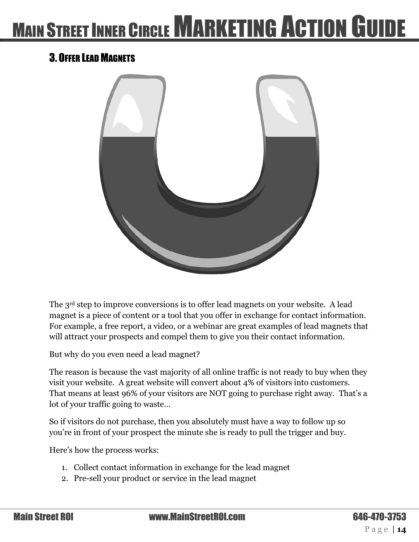### <span id="page-13-0"></span>3. OFFER LEAD MAGNETS



The 3<sup>rd</sup> step to improve conversions is to offer lead magnets on your website. A lead magnet is a piece of content or a tool that you offer in exchange for contact information. For example, a free report, a video, or a webinar are great examples of lead magnets that will attract your prospects and compel them to give you their contact information.

But why do you even need a lead magnet?

The reason is because the vast majority of all online traffic is not ready to buy when they visit your website. A great website will convert about 4% of visitors into customers. That means at least 96% of your visitors are NOT going to purchase right away. That's a lot of your traffic going to waste…

So if visitors do not purchase, then you absolutely must have a way to follow up so you're in front of your prospect the minute she is ready to pull the trigger and buy.

Here's how the process works:

- 1. Collect contact information in exchange for the lead magnet
- 2. Pre-sell your product or service in the lead magnet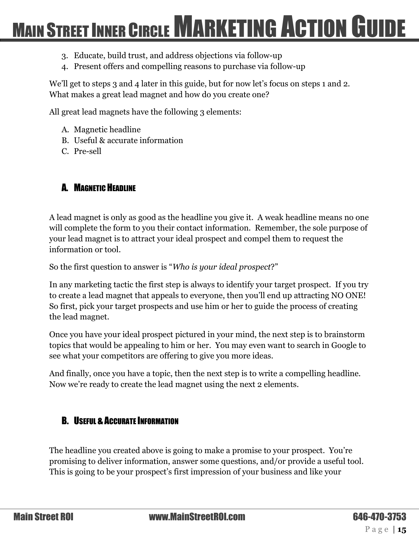- 3. Educate, build trust, and address objections via follow-up
- 4. Present offers and compelling reasons to purchase via follow-up

We'll get to steps 3 and 4 later in this guide, but for now let's focus on steps 1 and 2. What makes a great lead magnet and how do you create one?

All great lead magnets have the following 3 elements:

- A. Magnetic headline
- B. Useful & accurate information
- C. Pre-sell

#### <span id="page-14-0"></span>A. MAGNETIC HEADLINE

A lead magnet is only as good as the headline you give it. A weak headline means no one will complete the form to you their contact information. Remember, the sole purpose of your lead magnet is to attract your ideal prospect and compel them to request the information or tool.

So the first question to answer is "*Who is your ideal prospect*?"

In any marketing tactic the first step is always to identify your target prospect. If you try to create a lead magnet that appeals to everyone, then you'll end up attracting NO ONE! So first, pick your target prospects and use him or her to guide the process of creating the lead magnet.

Once you have your ideal prospect pictured in your mind, the next step is to brainstorm topics that would be appealing to him or her. You may even want to search in Google to see what your competitors are offering to give you more ideas.

And finally, once you have a topic, then the next step is to write a compelling headline. Now we're ready to create the lead magnet using the next 2 elements.

#### <span id="page-14-1"></span>**B. USEFUL & ACCURATE INFORMATION**

The headline you created above is going to make a promise to your prospect. You're promising to deliver information, answer some questions, and/or provide a useful tool. This is going to be your prospect's first impression of your business and like your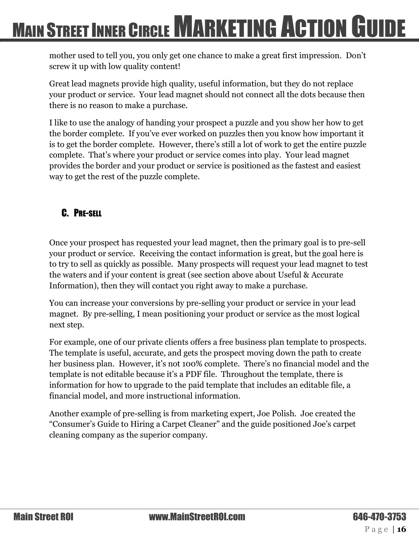mother used to tell you, you only get one chance to make a great first impression. Don't screw it up with low quality content!

Great lead magnets provide high quality, useful information, but they do not replace your product or service. Your lead magnet should not connect all the dots because then there is no reason to make a purchase.

I like to use the analogy of handing your prospect a puzzle and you show her how to get the border complete. If you've ever worked on puzzles then you know how important it is to get the border complete. However, there's still a lot of work to get the entire puzzle complete. That's where your product or service comes into play. Your lead magnet provides the border and your product or service is positioned as the fastest and easiest way to get the rest of the puzzle complete.

### <span id="page-15-0"></span>C. PRE-SELL

Once your prospect has requested your lead magnet, then the primary goal is to pre-sell your product or service. Receiving the contact information is great, but the goal here is to try to sell as quickly as possible. Many prospects will request your lead magnet to test the waters and if your content is great (see section above about Useful & Accurate Information), then they will contact you right away to make a purchase.

You can increase your conversions by pre-selling your product or service in your lead magnet. By pre-selling, I mean positioning your product or service as the most logical next step.

For example, one of our private clients offers a free business plan template to prospects. The template is useful, accurate, and gets the prospect moving down the path to create her business plan. However, it's not 100% complete. There's no financial model and the template is not editable because it's a PDF file. Throughout the template, there is information for how to upgrade to the paid template that includes an editable file, a financial model, and more instructional information.

Another example of pre-selling is from marketing expert, Joe Polish. Joe created the "Consumer's Guide to Hiring a Carpet Cleaner" and the guide positioned Joe's carpet cleaning company as the superior company.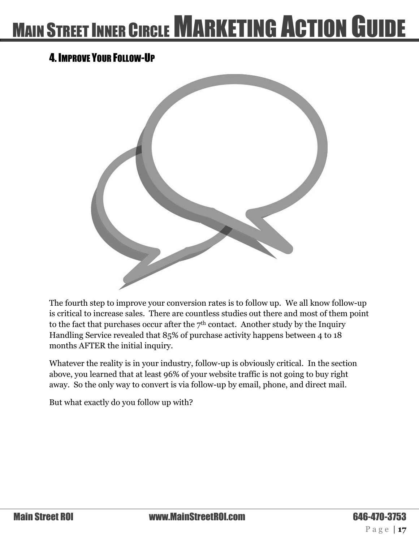### <span id="page-16-0"></span>4. IMPROVE YOUR FOLLOW-UP



The fourth step to improve your conversion rates is to follow up. We all know follow-up is critical to increase sales. There are countless studies out there and most of them point to the fact that purchases occur after the 7<sup>th</sup> contact. Another study by the Inquiry Handling Service revealed that 85% of purchase activity happens between 4 to 18 months AFTER the initial inquiry.

Whatever the reality is in your industry, follow-up is obviously critical. In the section above, you learned that at least 96% of your website traffic is not going to buy right away. So the only way to convert is via follow-up by email, phone, and direct mail.

But what exactly do you follow up with?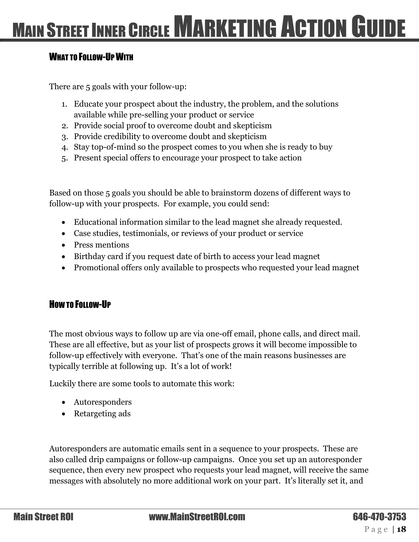#### <span id="page-17-0"></span>WHAT TO FOLLOW-UP WITH

There are 5 goals with your follow-up:

- 1. Educate your prospect about the industry, the problem, and the solutions available while pre-selling your product or service
- 2. Provide social proof to overcome doubt and skepticism
- 3. Provide credibility to overcome doubt and skepticism
- 4. Stay top-of-mind so the prospect comes to you when she is ready to buy
- 5. Present special offers to encourage your prospect to take action

Based on those 5 goals you should be able to brainstorm dozens of different ways to follow-up with your prospects. For example, you could send:

- Educational information similar to the lead magnet she already requested.
- Case studies, testimonials, or reviews of your product or service
- Press mentions
- Birthday card if you request date of birth to access your lead magnet
- Promotional offers only available to prospects who requested your lead magnet

#### <span id="page-17-1"></span>HOW TO FOLLOW-UP

The most obvious ways to follow up are via one-off email, phone calls, and direct mail. These are all effective, but as your list of prospects grows it will become impossible to follow-up effectively with everyone. That's one of the main reasons businesses are typically terrible at following up. It's a lot of work!

Luckily there are some tools to automate this work:

- Autoresponders
- Retargeting ads

Autoresponders are automatic emails sent in a sequence to your prospects. These are also called drip campaigns or follow-up campaigns. Once you set up an autoresponder sequence, then every new prospect who requests your lead magnet, will receive the same messages with absolutely no more additional work on your part. It's literally set it, and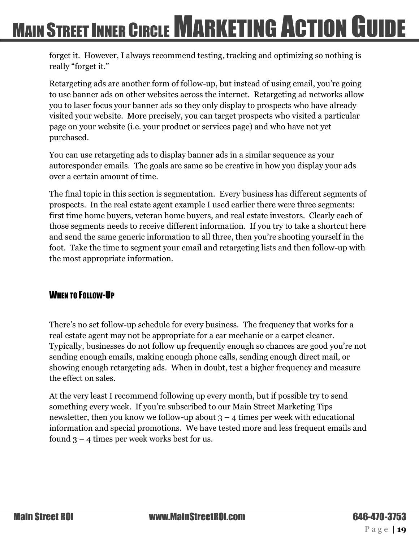forget it. However, I always recommend testing, tracking and optimizing so nothing is really "forget it."

Retargeting ads are another form of follow-up, but instead of using email, you're going to use banner ads on other websites across the internet. Retargeting ad networks allow you to laser focus your banner ads so they only display to prospects who have already visited your website. More precisely, you can target prospects who visited a particular page on your website (i.e. your product or services page) and who have not yet purchased.

You can use retargeting ads to display banner ads in a similar sequence as your autoresponder emails. The goals are same so be creative in how you display your ads over a certain amount of time.

The final topic in this section is segmentation. Every business has different segments of prospects. In the real estate agent example I used earlier there were three segments: first time home buyers, veteran home buyers, and real estate investors. Clearly each of those segments needs to receive different information. If you try to take a shortcut here and send the same generic information to all three, then you're shooting yourself in the foot. Take the time to segment your email and retargeting lists and then follow-up with the most appropriate information.

#### <span id="page-18-0"></span>WHEN TO FOLLOW-UP

There's no set follow-up schedule for every business. The frequency that works for a real estate agent may not be appropriate for a car mechanic or a carpet cleaner. Typically, businesses do not follow up frequently enough so chances are good you're not sending enough emails, making enough phone calls, sending enough direct mail, or showing enough retargeting ads. When in doubt, test a higher frequency and measure the effect on sales.

At the very least I recommend following up every month, but if possible try to send something every week. If you're subscribed to our Main Street Marketing Tips newsletter, then you know we follow-up about  $3 - 4$  times per week with educational information and special promotions. We have tested more and less frequent emails and found 3 – 4 times per week works best for us.